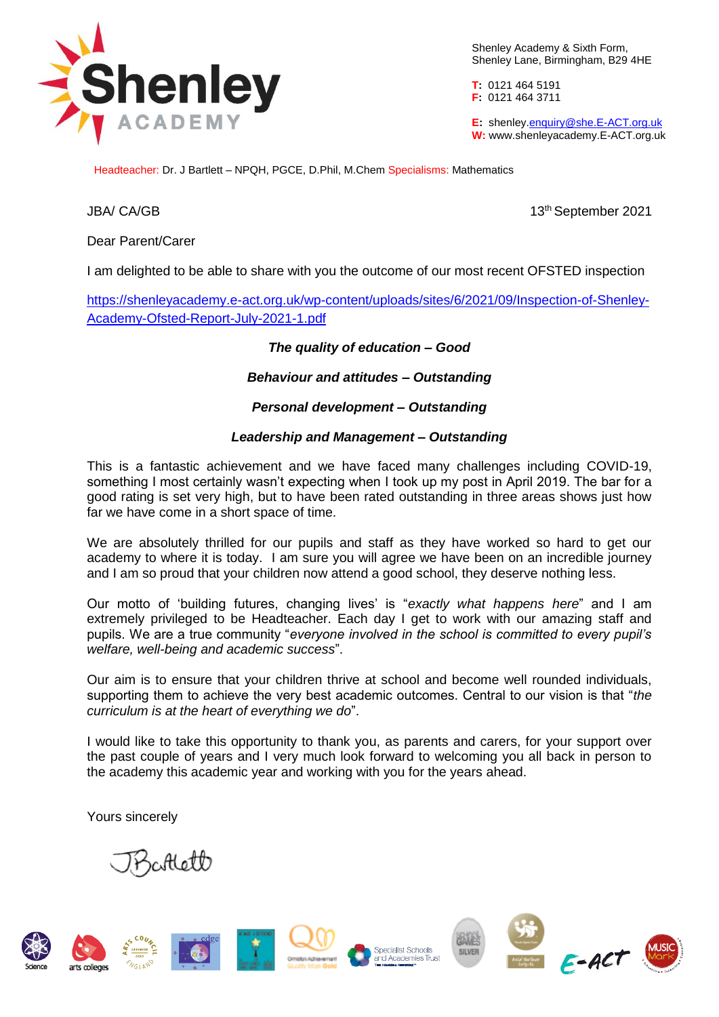

Shenley Academy & Sixth Form, Shenley Lane, Birmingham, B29 4HE

**T:** 0121 464 5191 **F:** 0121 464 3711

**E:** shenle[y.enquiry@she.E-ACT.org.uk](mailto:enquiry@she.E-ACT.org.uk) **W:** www.shenleyacademy.E-ACT.org.uk

Headteacher: Dr. J Bartlett – NPQH, PGCE, D.Phil, M.Chem Specialisms: Mathematics

JBA/ CA/GB 13th September 2021

Dear Parent/Carer

I am delighted to be able to share with you the outcome of our most recent OFSTED inspection

[https://shenleyacademy.e-act.org.uk/wp-content/uploads/sites/6/2021/09/Inspection-of-Shenley-](https://shenleyacademy.e-act.org.uk/wp-content/uploads/sites/6/2021/09/Inspection-of-Shenley-Academy-Ofsted-Report-July-2021-1.pdf)[Academy-Ofsted-Report-July-2021-1.pdf](https://shenleyacademy.e-act.org.uk/wp-content/uploads/sites/6/2021/09/Inspection-of-Shenley-Academy-Ofsted-Report-July-2021-1.pdf)

## *The quality of education – Good*

*Behaviour and attitudes – Outstanding*

## *Personal development – Outstanding*

## *Leadership and Management – Outstanding*

This is a fantastic achievement and we have faced many challenges including COVID-19, something I most certainly wasn't expecting when I took up my post in April 2019. The bar for a good rating is set very high, but to have been rated outstanding in three areas shows just how far we have come in a short space of time.

We are absolutely thrilled for our pupils and staff as they have worked so hard to get our academy to where it is today. I am sure you will agree we have been on an incredible journey and I am so proud that your children now attend a good school, they deserve nothing less.

Our motto of 'building futures, changing lives' is "*exactly what happens here*" and I am extremely privileged to be Headteacher. Each day I get to work with our amazing staff and pupils. We are a true community "*everyone involved in the school is committed to every pupil's welfare, well-being and academic success*".

Our aim is to ensure that your children thrive at school and become well rounded individuals, supporting them to achieve the very best academic outcomes. Central to our vision is that "*the curriculum is at the heart of everything we do*".

I would like to take this opportunity to thank you, as parents and carers, for your support over the past couple of years and I very much look forward to welcoming you all back in person to the academy this academic year and working with you for the years ahead.

Yours sincerely

allett